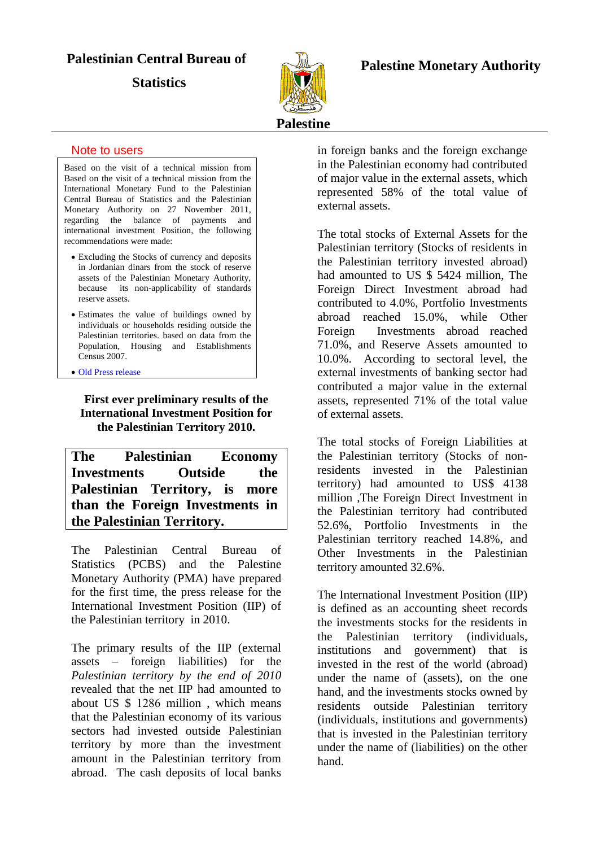## **Palestinian Central Bureau of**

**Statistics** 



### **Palestine Monetary Authority**

#### Note to users

Based on the visit of a technical mission from Based on the visit of a technical mission from the International Monetary Fund to the Palestinian Central Bureau of Statistics and the Palestinian Monetary Authority on 27 November 2011, regarding the balance of payments and international investment Position, the following recommendations were made:

- Excluding the Stocks of currency and deposits in Jordanian dinars from the stock of reserve assets of the Palestinian Monetary Authority, because its non-applicability of standards reserve assets.
- Estimates the value of buildings owned by individuals or households residing outside the Palestinian territories. based on data from the Population, Housing and Establishments Census 2007.
- [Old Press release](http://www.pcbs.gov.ps/Portals/_pcbs/PressRelease/Pres-IIP-2010_e.pdf)

**First ever preliminary results of the International Investment Position for the Palestinian Territory 2010.**

**The Palestinian Economy Investments Outside the Palestinian Territory, is more than the Foreign Investments in the Palestinian Territory.**

The Palestinian Central Bureau of Statistics (PCBS) and the Palestine Monetary Authority (PMA) have prepared for the first time, the press release for the International Investment Position (IIP) of the Palestinian territory in 2010.

The primary results of the IIP (external assets – foreign liabilities) for the *Palestinian territory by the end of 2010* revealed that the net IIP had amounted to about US  $$1286$  million, which means that the Palestinian economy of its various sectors had invested outside Palestinian territory by more than the investment amount in the Palestinian territory from abroad. The cash deposits of local banks

in foreign banks and the foreign exchange in the Palestinian economy had contributed of major value in the external assets, which represented 58% of the total value of external assets.

The total stocks of External Assets for the Palestinian territory (Stocks of residents in the Palestinian territory invested abroad) had amounted to US \$ 5424 million, The Foreign Direct Investment abroad had contributed to 4.0%, Portfolio Investments abroad reached 15.0%, while Other Foreign Investments abroad reached 71.0%, and Reserve Assets amounted to 10.0%. According to sectoral level, the external investments of banking sector had contributed a major value in the external assets, represented 71% of the total value of external assets.

The total stocks of Foreign Liabilities at the Palestinian territory (Stocks of nonresidents invested in the Palestinian territory) had amounted to US\$ 4138 million ,The Foreign Direct Investment in the Palestinian territory had contributed 52.6%, Portfolio Investments in the Palestinian territory reached 14.8%, and Other Investments in the Palestinian territory amounted 32.6%.

The International Investment Position (IIP) is defined as an accounting sheet records the investments stocks for the residents in the Palestinian territory (individuals, institutions and government) that is invested in the rest of the world (abroad) under the name of (assets), on the one hand, and the investments stocks owned by residents outside Palestinian territory (individuals, institutions and governments) that is invested in the Palestinian territory under the name of (liabilities) on the other hand.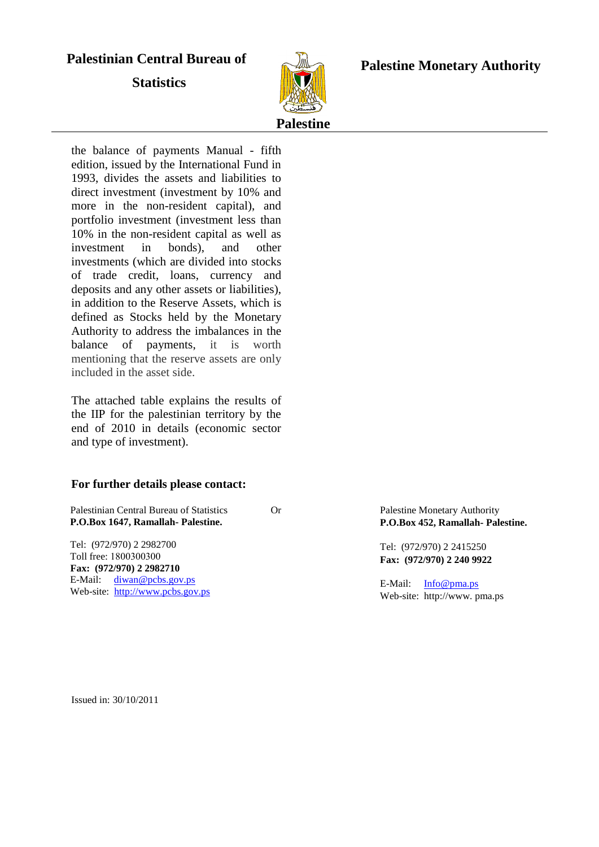# **Palestinian Central Bureau of**

**Statistics** 



### **Palestine Monetary Authority**

the balance of payments Manual - fifth edition, issued by the International Fund in 1993, divides the assets and liabilities to direct investment (investment by 10% and more in the non-resident capital), and portfolio investment (investment less than 10% in the non-resident capital as well as investment in bonds), and other investments (which are divided into stocks of trade credit, loans, currency and deposits and any other assets or liabilities), in addition to the Reserve Assets, which is defined as Stocks held by the Monetary Authority to address the imbalances in the balance of payments, it is worth mentioning that the reserve assets are only included in the asset side.

The attached table explains the results of the IIP for the palestinian territory by the end of 2010 in details (economic sector and type of investment).

#### **For further details please contact:**

Palestinian Central Bureau of Statistics Or **P.O.Box 1647, Ramallah- Palestine.**

Tel: (972/970) 2 2982700 Toll free: 1800300300 **Fax: (972/970) 2 2982710** E-Mail: [diwan@pcbs.gov.ps](mailto:diwan@pcbs.gov.ps) Web-site: [http://www.pcbs.gov.ps](http://www.pcbs.gov.ps/) Palestine Monetary Authority **P.O.Box 452, Ramallah- Palestine.**

Tel: (972/970) 2 2415250 **Fax: (972/970) 2 240 9922**

E-Mail: [Info@pma.ps](mailto:Info@pma.ps) Web-site: http://www. pma.ps

Issued in: 30/10/2011